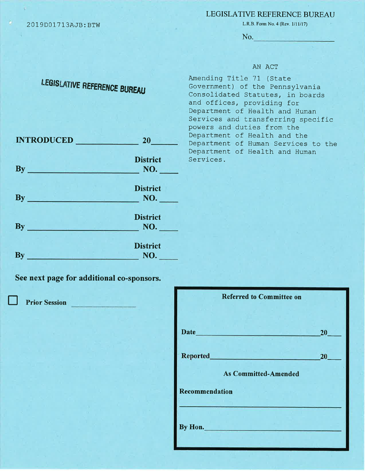20L9D01713AJ8:BTW

## LEGISLATIVE REFERENCE BUREAU

L.R.B. Form No. 4 (Rev. 1/11/17)

No.

## AN ACT

| LEGISLATIVE REFERENCE BUREAU |                        | Amending Title 71 (State<br>Government) of the Pennsylvania<br>Consolidated Statutes, in boards<br>and offices, providing for<br>Department of Health and Human<br>Services and transferring specific<br>powers and duties from the |
|------------------------------|------------------------|-------------------------------------------------------------------------------------------------------------------------------------------------------------------------------------------------------------------------------------|
| <b>INTRODUCED</b>            | 20                     | Department of Health and the<br>Department of Human Services to the<br>Department of Health and Human                                                                                                                               |
| $\mathbf{B}\mathbf{y}$       | <b>District</b><br>NO. | Services.                                                                                                                                                                                                                           |
| $\mathbf{B}\mathbf{v}$       | <b>District</b><br>NO. |                                                                                                                                                                                                                                     |
| $\mathbf{By}$                | <b>District</b><br>NO. |                                                                                                                                                                                                                                     |
|                              | <b>District</b>        |                                                                                                                                                                                                                                     |

NO.

See next page for additional co-sponsors.

**Prior Session** 

By

| <b>Referred to Committee on</b>                                                                                                                                                                                               |                 |
|-------------------------------------------------------------------------------------------------------------------------------------------------------------------------------------------------------------------------------|-----------------|
| Date has been a series of the series of the series of the series of the series of the series of the series of the series of the series of the series of the series of the series of the series of the series of the series of | 20 <sub>2</sub> |
| Reported_______<br>and the state                                                                                                                                                                                              | 20              |
| <b>As Committed-Amended</b><br>Recommendation                                                                                                                                                                                 |                 |
|                                                                                                                                                                                                                               |                 |
| By Hon.                                                                                                                                                                                                                       |                 |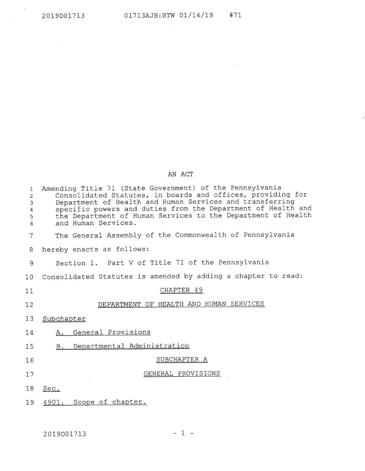$\mathcal{F}_{\mathcal{F}}$ 

 $\sim 100$ 

## AN ACT

| $\mathbf{1}$<br>$\overline{2}$<br>3<br>$\overline{4}$<br>5<br>6 | Amending Title 71 (State Government) of the Pennsylvania<br>Consolidated Statutes, in boards and offices, providing for<br>Department of Health and Human Services and transferring<br>specific powers and duties from the Department of Health and<br>the Department of Human Services to the Department of Health<br>and Human Services. |
|-----------------------------------------------------------------|--------------------------------------------------------------------------------------------------------------------------------------------------------------------------------------------------------------------------------------------------------------------------------------------------------------------------------------------|
| 7                                                               | The General Assembly of the Commonwealth of Pennsylvania                                                                                                                                                                                                                                                                                   |
| 8                                                               | hereby enacts as follows:                                                                                                                                                                                                                                                                                                                  |
| 9                                                               | Section 1. Part V of Title 71 of the Pennsylvania                                                                                                                                                                                                                                                                                          |
| 10                                                              | Consolidated Statutes is amended by adding a chapter to read:                                                                                                                                                                                                                                                                              |
| 11                                                              | CHAPTER 49                                                                                                                                                                                                                                                                                                                                 |
| 12                                                              | DEPARTMENT OF HEALTH AND HUMAN SERVICES                                                                                                                                                                                                                                                                                                    |
| 13                                                              | Subchapter                                                                                                                                                                                                                                                                                                                                 |
| 14                                                              | General Provisions<br>A.                                                                                                                                                                                                                                                                                                                   |
| 15                                                              | Departmental Administration<br>B.                                                                                                                                                                                                                                                                                                          |
| 16                                                              | SUBCHAPTER A                                                                                                                                                                                                                                                                                                                               |
| 17                                                              | GENERAL PROVISIONS                                                                                                                                                                                                                                                                                                                         |
| 18                                                              | Sec.                                                                                                                                                                                                                                                                                                                                       |
| 19                                                              | 4901. Scope of chapter.                                                                                                                                                                                                                                                                                                                    |

 $= 1 -$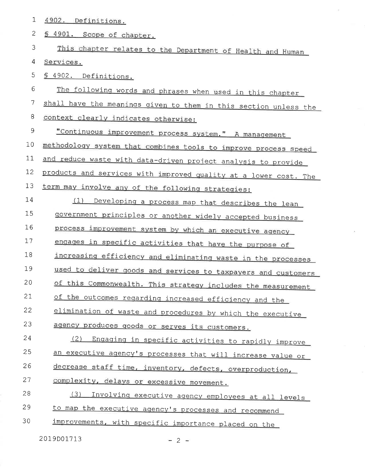| $1\,$       | 4902. Definitions.                                               |
|-------------|------------------------------------------------------------------|
| 2           | 4901. Scope of chapter.<br>Ø.                                    |
| 3           | This chapter relates to the Department of Health and Human       |
| 4           | Services.                                                        |
| 5           | § 4902. Definitions.                                             |
| 6           | The following words and phrases when used in this chapter        |
| 7           | shall have the meanings given to them in this section unless the |
| 8           | context clearly indicates otherwise:                             |
| $\mathsf 9$ | "Continuous improvement process system." A management            |
| 10          | methodology system that combines tools to improve process speed  |
| 11          | and reduce waste with data-driven project analysis to provide    |
| 12          | products and services with improved quality at a lower cost. The |
| 13          | term may involve any of the following strategies:                |
| 14          | (1)<br>Developing a process map that describes the lean          |
| 15          | government principles or another widely accepted business        |
| 16          | process improvement system by which an executive agency          |
| 17          | engages in specific activities that have the purpose of          |
| 18          | increasing efficiency and eliminating waste in the processes     |
| 19          | used to deliver goods and services to taxpayers and customers    |
| 20          | of this Commonwealth. This strategy includes the measurement     |
| 21          | of the outcomes regarding increased efficiency and the           |
| 22          | elimination of waste and procedures by which the executive       |
| 23          | agency produces goods or serves its customers.                   |
| 24          | (2) Engaging in specific activities to rapidly improve           |
| 25          | an executive agency's processes that will increase value or      |
| 26          | decrease staff time, inventory, defects, overproduction,         |
| 27          | complexity, delays or excessive movement.                        |
| 28          | (3)<br>Involving executive agency employees at all levels        |
| 29          | to map the executive agency's processes and recommend            |
| 30          | improvements, with specific importance placed on the             |
|             |                                                                  |

 $-2-$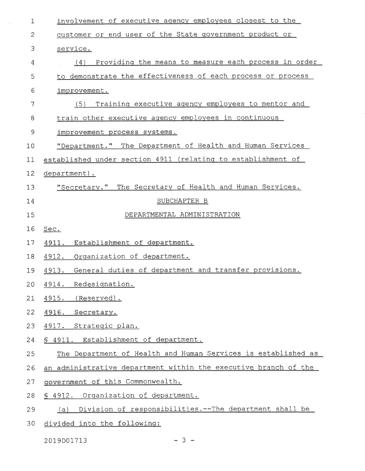| 1            | involvement of executive agency employees closest to the        |
|--------------|-----------------------------------------------------------------|
| $\mathbf{2}$ | customer or end user of the State government product or         |
| 3            | service.                                                        |
| 4            | Providing the means to measure each process in order<br>(4)     |
| 5            | to demonstrate the effectiveness of each process or process     |
| 6            | improvement.                                                    |
| 7            | Training executive agency employees to mentor and<br>(5)        |
| 8            | train other executive agency employees in continuous            |
| 9            | improvement process systems.                                    |
| 10           | "Department." The Department of Health and Human Services       |
| 11           | established under section 4911 (relating to establishment of    |
| 12           | department).                                                    |
| 13           | "Secretary." The Secretary of Health and Human Services.        |
| 14           | SUBCHAPTER B                                                    |
| 15           | DEPARTMENTAL ADMINISTRATION                                     |
| 16           | Sec.                                                            |
| 17           | 4911. Establishment of department.                              |
| 18           | 4912. Organization of department.                               |
| 19           | 4913. General duties of department and transfer provisions.     |
|              | 20 4914. Redesignation.                                         |
| 21           | 4915. (Reserved).                                               |
| 22           | 4916. Secretary.                                                |
| 23           | 4917. Strategic plan.                                           |
| 24           | § 4911. Establishment of department.                            |
| 25           |                                                                 |
|              | The Department of Health and Human Services is established as   |
| 26           | an administrative department within the executive branch of the |
| 27           | government of this Commonwealth.                                |
| 28           | § 4912. Organization of department.                             |
| 29           | Division of responsibilities. -- The department shall be<br>(a) |

 $\sim$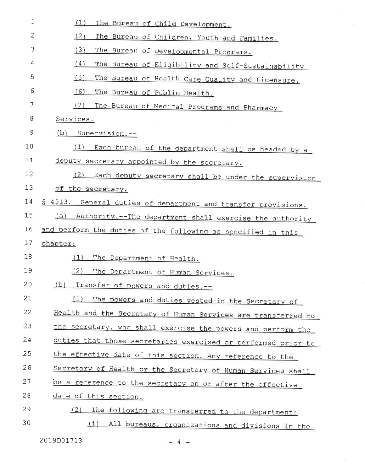| $\mathbf 1$  | (1)<br>The Bureau of Child Development.                        |
|--------------|----------------------------------------------------------------|
| $\mathbf{2}$ | (2)<br>The Bureau of Children, Youth and Families.             |
| 3            | (3)<br>The Bureau of Developmental Programs.                   |
| 4            | (4)<br>The Bureau of Eligibility and Self-Sustainability.      |
| 5            | (5)<br>The Bureau of Health Care Quality and Licensure.        |
| 6            | (6)<br>The Bureau of Public Health.                            |
| 7            | (7)<br>The Bureau of Medical Programs and Pharmacy             |
| 8            | Services.                                                      |
| 9            | (d)<br>Supervision.--                                          |
| 10           | (1)<br>Each bureau of the department shall be headed by a      |
| 11           | deputy secretary appointed by the secretary.                   |
| 12           | (2)<br>Each deputy secretary shall be under the supervision    |
| 13           | of the secretary.                                              |
| 14           | \$ 4913. General duties of department and transfer provisions. |
| 15           | (a)<br>Authority.--The department shall exercise the authority |
| 16           | and perform the duties of the following as specified in this   |
| 17           | chapter:                                                       |
| 18           | (1)<br>The Department of Health.                               |
| 19           | (2)<br>The Department of Human Services.                       |
| 20           | (b)<br>Transfer of powers and duties.--                        |
| 21           | (1)<br>The powers and duties vested in the Secretary of        |
| 22           | Health and the Secretary of Human Services are transferred to  |
| 23           | the secretary, who shall exercise the powers and perform the   |
| 24           | duties that those secretaries exercised or performed prior to  |
| 25           | the effective date of this section. Any reference to the       |
| 26           | Secretary of Health or the Secretary of Human Services shall   |
| 27           | be a reference to the secretary on or after the effective      |
| 28           | date of this section.                                          |
| 29           | (2)<br>The following are transferred to the department:        |
| 30           | (i)<br>All bureaus, organizations and divisions in the         |

 $\overline{\mathcal{C}}$ 

 $\lambda$ 

2019D01713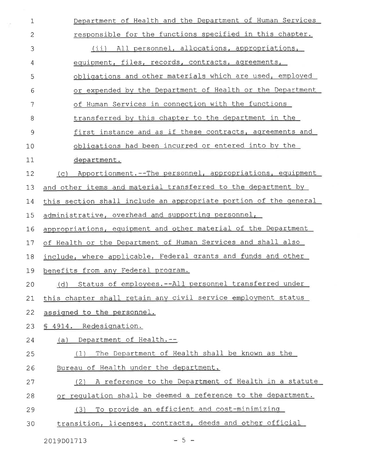| $\mathbf 1$ | Department of Health and the Department of Human Services        |
|-------------|------------------------------------------------------------------|
| 2           | responsible for the functions specified in this chapter.         |
| 3           | (ii) All personnel, allocations, appropriations,                 |
| 4           | equipment, files, records, contracts, agreements,                |
| 5           | obligations and other materials which are used, employed         |
| 6           | or expended by the Department of Health or the Department        |
| 7           | of Human Services in connection with the functions               |
| 8           | transferred by this chapter to the department in the             |
| $\mathsf 9$ | first instance and as if these contracts, agreements and         |
| 10          | obligations had been incurred or entered into by the             |
| 11          | department.                                                      |
| 12          | Apportionment.--The personnel, appropriations, equipment<br>(C)  |
| 13          | and other items and material transferred to the department by    |
| 14          | this section shall include an appropriate portion of the general |
| 15          | administrative, overhead and supporting personnel,               |
| 16          | appropriations, equipment and other material of the Department   |
| 17          | of Health or the Department of Human Services and shall also     |
| 18          | include, where applicable, Federal grants and funds and other    |
| 19          | benefits from any Federal program.                               |
| 20          | Status of employees. -- All personnel transferred under<br>(d)   |
| 21          | this chapter shall retain any civil service employment status    |
| 22          | assigned to the personnel.                                       |
| 23          | § 4914. Redesignation.                                           |
| 24          | Department of Health.--<br>(a)                                   |
| 25          | The Department of Health shall be known as the<br>(1)            |
| 26          | Bureau of Health under the department.                           |
| 27          | A reference to the Department of Health in a statute<br>(2)      |
| 28          | or requlation shall be deemed a reference to the department.     |
| 29          | To provide an efficient and cost-minimizing<br>(3)               |
| 30          | transition, licenses, contracts, deeds and other official        |

 $\gamma^{\mu}$ 

 $= 5 =$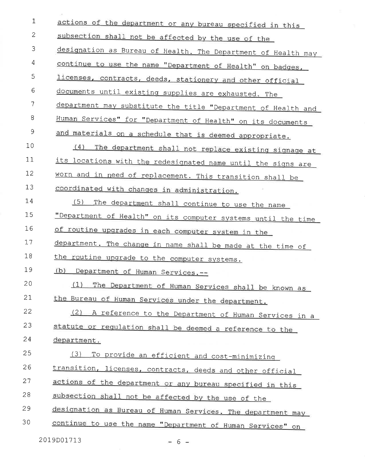| $\mathbf{1}$ | actions of the department or any bureau specified in this     |
|--------------|---------------------------------------------------------------|
| $\mathbf{2}$ | subsection shall not be affected by the use of the            |
| 3            | designation as Bureau of Health. The Department of Health may |
| 4            | continue to use the name "Department of Health" on badges,    |
| 5            | licenses, contracts, deeds, stationery and other official     |
| 6            | documents until existing supplies are exhausted. The          |
| 7            | department may substitute the title "Department of Health and |
| 8            | Human Services" for "Department of Health" on its documents   |
| $\mathsf 9$  | and materials on a schedule that is deemed appropriate.       |
| 10           | (4)<br>The department shall not replace existing signage at   |
| 11           | its locations with the redesignated name until the signs are  |
| 12           | worn and in need of replacement. This transition shall be     |
| 13           | coordinated with changes in administration.                   |
| 14           | (5)<br>The department shall continue to use the name          |
| 15           | "Department of Health" on its computer systems until the time |
| 16           | of routine upgrades in each computer system in the            |
| 17           | department. The change in name shall be made at the time of   |
| 18           | the routine upgrade to the computer systems.                  |
| 19           | (b) Department of Human Services.--                           |
| 20           | (1) The Department of Human Services shall be known as        |
| 21           | the Bureau of Human Services under the department.            |
| 22           | (2) A reference to the Department of Human Services in a      |
| 23           | statute or regulation shall be deemed a reference to the      |
| 24           | department.                                                   |
| 25           | (3)<br>To provide an efficient and cost-minimizing            |
| 26           | transition, licenses, contracts, deeds and other official     |
| 27           | actions of the department or any bureau specified in this     |
| 28           | subsection shall not be affected by the use of the            |
| 29           | designation as Bureau of Human Services. The department may   |
| 30           | continue to use the name "Department of Human Services" on    |
|              | 2019D01713<br>$-6-$                                           |

 $\sim$  180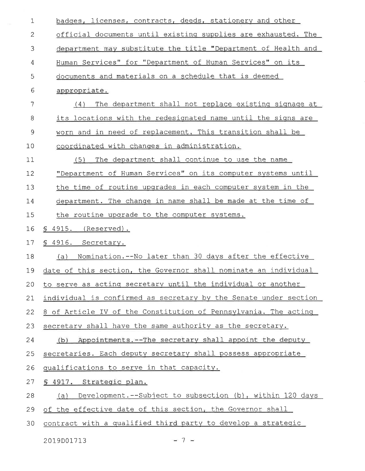| badges, licenses, contracts, deeds, stationery and other         |
|------------------------------------------------------------------|
| official documents until existing supplies are exhausted. The    |
| department may substitute the title "Department of Health and    |
| Human Services" for "Department of Human Services" on its        |
| documents and materials on a schedule that is deemed             |
| appropriate.                                                     |
| The department shall not replace existing signage at<br>(4)      |
| its locations with the redesignated name until the signs are     |
| worn and in need of replacement. This transition shall be        |
| coordinated with changes in administration.                      |
| The department shall continue to use the name<br>(5)             |
| "Department of Human Services" on its computer systems until     |
| the time of routine upgrades in each computer system in the      |
| department. The change in name shall be made at the time of      |
| the routine upgrade to the computer systems.                     |
| $$4915.$ (Reserved).                                             |
| § 4916. Secretary.                                               |
| Nomination.--No later than 30 days after the effective<br>(a)    |
| date of this section, the Governor shall nominate an individual  |
| 20 to serve as acting secretary until the individual or another  |
| individual is confirmed as secretary by the Senate under section |
| 8 of Article IV of the Constitution of Pennsylvania. The acting  |
| secretary shall have the same authority as the secretary.        |
| (b) Appointments.--The secretary shall appoint the deputy        |
| secretaries. Each deputy secretary shall possess appropriate     |
|                                                                  |
| qualifications to serve in that capacity.                        |
| § 4917. Strategic plan.                                          |
| Development.--Subject to subsection (b), within 120 days<br>(a)  |
| of the effective date of this section, the Governor shall        |
|                                                                  |

 $= 7 =$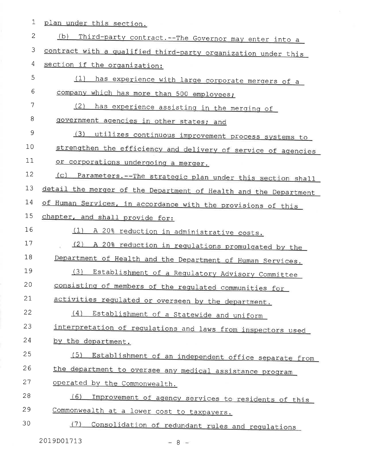|  |  | 1 plan under this section. |
|--|--|----------------------------|
|  |  |                            |

| $\overline{c}$ | (b)<br>Third-party contract. -- The Governor may enter into a    |
|----------------|------------------------------------------------------------------|
| 3              | contract with a qualified third-party organization under this    |
| 4              | section if the organization:                                     |
| 5              | (1)<br>has experience with large corporate mergers of a          |
| 6              | company which has more than 500 employees;                       |
| 7              | (2)<br>has experience assisting in the merging of                |
| 8              | government agencies in other states; and                         |
| 9              | (3)<br>utilizes continuous improvement process systems to        |
| 10             | strengthen the efficiency and delivery of service of agencies    |
| 11             | or corporations undergoing a merger.                             |
| 12             | (c) Parameters. -- The strategic plan under this section shall   |
| 13             | detail the merger of the Department of Health and the Department |
| 14             | of Human Services, in accordance with the provisions of this     |
| 15             | chapter, and shall provide for:                                  |
| 16             | (1) A 20% reduction in administrative costs.                     |
| 17             | (2)<br>A 20% reduction in regulations promulgated by the         |
| 18             | Department of Health and the Department of Human Services.       |
| 19             | (3)<br>Establishment of a Regulatory Advisory Committee          |
| 20             | consisting of members of the regulated communities for           |
| 21             | activities requlated or overseen by the department.              |
| 22             | (4)<br>Establishment of a Statewide and uniform                  |
| 23             | interpretation of regulations and laws from inspectors used      |
| 24             | by the department.                                               |
| 25             | (5)<br>Establishment of an independent office separate from      |
| 26             | the department to oversee any medical assistance program         |
| 27             | operated by the Commonwealth.                                    |
| 28             | (6)<br>Improvement of agency services to residents of this       |
| 29             | Commonwealth at a lower cost to taxpayers.                       |
| 30             | (7)<br>Consolidation of redundant rules and requlations          |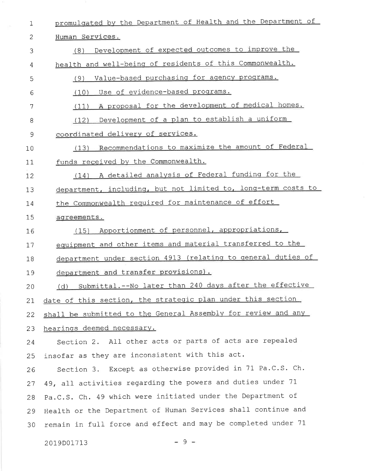| $\mathbf 1$   | promulgated by the Department of Health and the Department of   |
|---------------|-----------------------------------------------------------------|
| 2             | Human Services.                                                 |
| 3             | Development of expected outcomes to improve the<br>(8)          |
| 4             | health and well-being of residents of this Commonwealth.        |
| 5             | Value-based purchasing for agency programs.<br>(9)              |
| 6             | Use of evidence-based programs.<br>(10)                         |
| 7             | (11) A proposal for the development of medical homes.           |
| 8             | Development of a plan to establish a uniform<br>(12)            |
| $\mathcal{G}$ | coordinated delivery of services.                               |
| 10            | (13) Recommendations to maximize the amount of Federal          |
| 11            | funds received by the Commonwealth.                             |
| 12            | (14) A detailed analysis of Federal funding for the             |
| 13            | department, including, but not limited to, long-term costs to   |
| 14            | the Commonwealth required for maintenance of effort             |
| 15            | agreements.                                                     |
| 16            | Apportionment of personnel, appropriations,<br>(15)             |
| 17            | equipment and other items and material transferred to the       |
| 18            | department under section 4913 (relating to general duties of    |
| 19            | department and transfer provisions).                            |
| 20            | Submittal. -- No later than 240 days after the effective<br>(d) |
| 21            | date of this section, the strategic plan under this section     |
| 22            | shall be submitted to the General Assembly for review and any   |
| 23            | hearings deemed necessary.                                      |
| 24            | Section 2. All other acts or parts of acts are repealed         |
| 25            | insofar as they are inconsistent with this act.                 |
| 26            | Section 3. Except as otherwise provided in 71 Pa.C.S. Ch.       |
| 27            | 49, all activities regarding the powers and duties under 71     |
| 28            | Pa.C.S. Ch. 49 which were initiated under the Department of     |
| 29            | Health or the Department of Human Services shall continue and   |
| 30            | remain in full force and effect and may be completed under 71   |
|               |                                                                 |

¥.

 $-9 -$